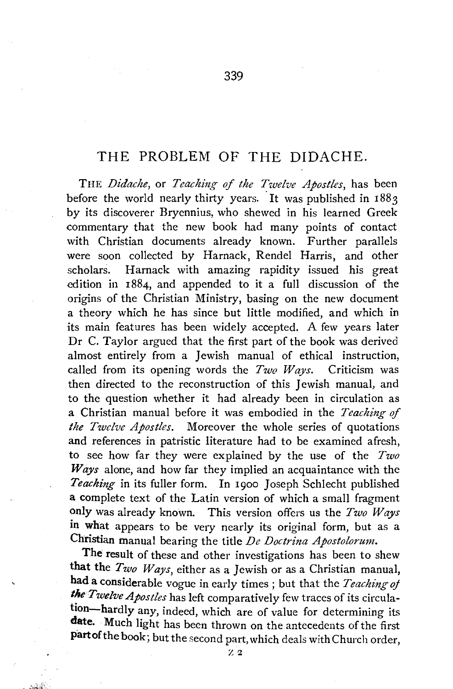# THE PROBLEM OF THE DIDACHE.

THE *Didache*, or *Teaching of the Twelve Apostles*, has been before the world nearly thirty years. It was published in  $1883$ by its discoverer Bryennius, who shewed in his learned Greek commentary that the new book had many points of contact with Christian documents already known. Further parallels were soon collected by Harnack, Rendel Harris, and other scholars. Harnack with amazing rapidity issued his great edition in 1884, and appended to it a full discussion of the origins of the Christian Ministry, basing on the new document a theory which he has since but little modified, and which in its main features has been widely accepted. A few years later Dr C. Taylor argued that the first part of the book was derived almost entirely from a Jewish manual of ethical instruction, called from its opening words the *Two Ways.* Criticism was then directed to the reconstruction of this Jewish manual, and to the question whether it had already been in circulation as a Christian manual before it was embodied in the *Teaching of the Twelve Apostles.* Moreover the whole series of quotations and references in patristic literature had to be examined afresh, to see how far they were explained by the use of the *Two Ways* alone, and how far they implied an acquaintance with the Teaching in its fuller form. In 1900 Joseph Schlecht published a complete text of the Latin version of which a small fragment only was already known. This version offers us the *Two Ways*  in what appears to be very nearly its original form, but as a Christian manual bearing the title *De Doctrina Apostolorum*.

The result of these and other investigations has been to shew that the *Two Ways,* either as a Jewish or as a Christian manual, had a considerable vogue in early times; but that the *Teaching of* the Twelve Apostles has left comparatively few traces of its circulation-hardly any, indeed, which are of value for determining its date. Much light has been thrown on the antecedents of the first part of the book; but the second part, which deals with Church order,

339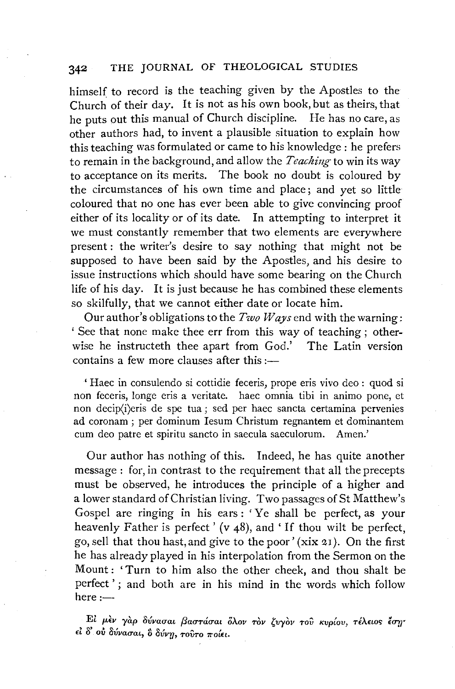himself to record is the teaching given by the Apostles to the Church of their day. It is not as his own book, but as theirs, that he puts out this manual of Church discipline. He has no care, as other authors had, to invent a plausible situation to explain how this teaching was formulated or came to his knowledge : he prefers to remain in the background, and allow the *Teaching* to win its way to acceptance on its merits. The book no doubt is coloured by the circumstances of his own time and place; and yet so little coloured that no one has ever been able to give convincing proof either of its locality or of its date. In attempting to interpret it we must constantly remember that two elements are everywhere present : the writer's desire to say nothing that might not be supposed to have been said by the Apostles, and his desire to issue instructions which should have some bearing on the Church life of his day. It is just because he has combined these elements so skilfully, that we cannot either date or locate him.

Our author's obligations to the *Two Ways* end with the warning; ' See that none make thee err from this way of teaching ; otherwise he instructeth thee apart from God.' The Latin version contains a few more clauses after this  $:$ --

' Haec in consulendo si cottidie feceris, prope eris vivo deo : quod si non feceris, longe eris a veritate. haec omnia tibi in animo pone, et non decip(i)eris de spe tua ; sed per haec sancta certamina pervenies ad coronam ; per dominum Iesum Christum regnantem et dominantem cum deo patre et spiritu sancto in saecula saeculorum. Amen.'

Our author has nothing of this. Indeed, he has quite another message : for, in contrast to the requirement that all the precepts must be observed, he introduces the principle of a higher and a lower standard of Christian living. Two passages of St Matthew's Gospel are ringing in his ears : ' Ye shall be perfect, as your heavenly Father is perfect' (v 48), and 'If thou wilt be perfect, go, sell that thou hast, and give to the poor' (xix 21 ). On the first he has already played in his interpolation from the Sermon on the Mount : 'Turn to him also the other cheek, and thou shalt be perfect'; and both are in his mind in the words which follow  $here:$ 

*El μέν γαρ δύνασαι βαστάσαι όλον τον ζυγον του κυρίου, τέλειος έσης*  $\epsilon$ <sup>*i*</sup> δ' <sup>oυ</sup> δύνασαι, ὃ δύνη, τούτο ποίει.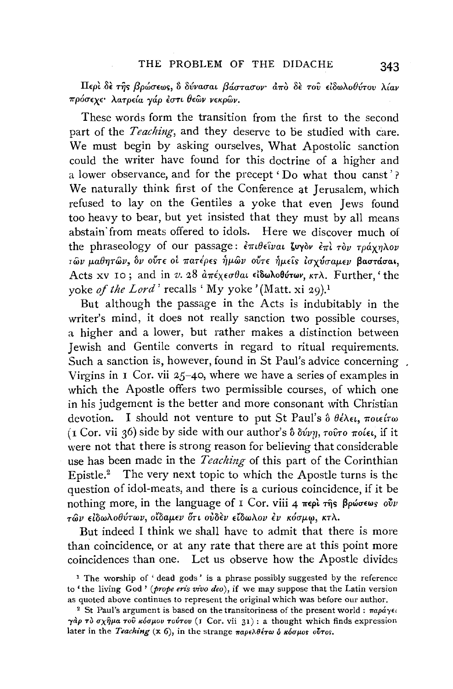Περί δε της βρώσεως, ο δύνασαι βάστασον άπο δε του είδωλοθύτου λίαν πρόσεχε· λατρεία γάρ έστι θεῶν νεκρῶν.

These words form the transition from the first to the second part of the *Teaching*, and they deserve to be studied with care. We must begin by asking ourselves, What Apostolic sanction could the writer have found for this doctrine of a higher and a lower observance, and for the precept 'Do what thou canst'? We naturally think first of the Conference at Jerusalem, which refused to lay on the Gentiles a yoke that even Jews found too heavy to bear, but yet insisted that they must by all means abstain from meats offered to idols. Here we discover much of the phraseology of our passage:  $\epsilon \pi \iota \theta \epsilon \iota \nu a \iota \iota \iota \gamma \delta \nu$   $\tau \iota \iota \iota \iota \gamma \iota \iota \iota \gamma$ τών μαθητών, δυ ούτε οι πατέρες ήμών ούτε ήμεις ισχύσαμεν βαστάσαι, Acts xv 10; and in  $v$ . 28  $\hat{a}\pi\hat{\epsilon}$   $\times$   $\theta$   $a\iota$   $\hat{\epsilon}$   $\delta\omega$ λοθύτων,  $\kappa\tau\lambda$ . Further, 'the yoke of the Lord' recalls 'My yoke' (Matt. xi 29).<sup>1</sup>

But although the passage in the Acts is indubitably in the writer's mind, it does not really sanction two possible courses, a higher and a lower, but rather makes a distinction between Jewish and Gentile converts in regard to ritual requirements. Such a sanction is, however, found in St Paul's advice concerning. Virgins in  $\bar{1}$  Cor. vii 25-40, where we have a series of examples in which the Apostle offers two permissible courses, of which one in his judgement is the better and more consonant with Christian devotion. I should not venture to put St Paul's  $\delta \theta \acute{\epsilon} \lambda \epsilon \iota$ , ποιείτω (1 Cor. vii 36) side by side with our author's  $\delta \delta \psi \eta$ ,  $\tau \delta \bar{\psi} \tau \delta \eta$  and it it were not that there is strong reason for believing that considerable use has been made in the *Teaching* of this part of the Corinthian Epistle.<sup>2</sup> The very next topic to which the Apostle turns is the question of idol-meats, and there is a curious coincidence, if it be nothing more, in the language of  $I$  Cor. viii 4  $\pi\epsilon\rho\lambda$   $\tau\hat{\eta}s$  βρώσεως ούν τών είδωλοθύτων, οίδαμεν ότι ούδεν είδωλον έν κόσμω, κτλ.

But indeed I think we shall have to admit that there is more than coincidence, or at any rate that there are at this point more coincidences than one. Let us observe how the Apostle divides

<sup>&</sup>lt;sup>1</sup> The worship of 'dead gods' is a phrase possibly suggested by the reference to 'the living God' (prope eris vivo deo), if we may suppose that the Latin version as quoted above continues to represent the original which was before our author.

<sup>&</sup>lt;sup>2</sup> St Paul's argument is based on the transitoriness of the present world:  $\pi a \rho a \gamma \epsilon \iota$  $\gamma$ άρ τὸ σχῆμα τοῦ κόσμου τούτου (1 Cor. vii 31): a thought which finds expression later in the *Teaching* (x 6), in the strange  $\pi a \rho \epsilon \lambda \theta \epsilon \tau \omega$   $\delta$   $\kappa \delta \sigma \mu$ os ob $\tau$ os.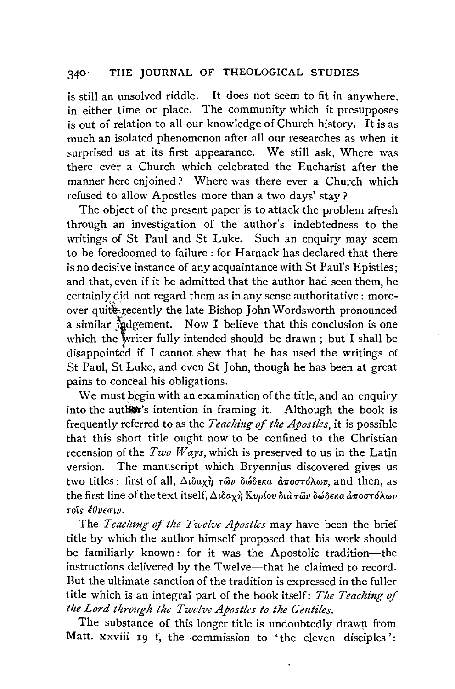is still an unsolved riddle. It does not seem to fit in anywhere. in either time or place. The community which it presupposes is out of relation to all our knowledge of Church history. It is as much an isolated phenomenon after all our researches as when it surprised us at its first appearance. We still ask, Where was there ever a Church which celebrated the Eucharist after the manner here enjoined? Where was there ever a Church which refused to allow Apostles more than a two days' stay?

The object of the present paper is to attack the problem afresh through an investigation of the author's indebtedness to the writings of St Paul and St Luke. Such an enquiry may seem to be foredoomed to failure : for Harnack has declared that there is no decisive instance of any acquaintance with St Paul's Epistles; and that, even if it be admitted that the author had seen them, he certainly did not regard them as in any sense authoritative : moreover quite recently the late Bishop John Wordsworth pronounced a similar  $\frac{1}{10}$ dgement. Now I believe that this conclusion is one which the writer fully intended should be drawn; but I shall be disappointed if I cannot shew that he has used the writings of St Paul, St Luke, and even St John, though he has been at great pains to conceal his obligations.

We must begin with an examination of the title, and an enquiry into the author's intention in framing it. Although the book is frequently referred to as the *Teaching of the Apostles*, it is possible that this short title ought now to be confined to the Christian recension of the *Two Ways,* which is preserved to us in the Latin version. The manuscript which Bryennius discovered gives us two titles: first of all,  $\Delta t \delta a \chi \eta$   $\tau \hat{\omega} \nu$   $\delta \omega \delta \epsilon \kappa a$   $\hat{\alpha} \tau \sigma \sigma \tau \hat{\omega} \omega \nu$ , and then, as the first line of the text itself, Διδαχὴ Κυρίου διὰ τῶν δώδεκα ἀποστόλων TO'i~ *MVE!TLV.* 

The *Teaching of the Twelve Apostles* may have been the brief title by which the author himself proposed that his work should be familiarly known: for it was the Apostolic tradition-the instructions delivered by the Twelve-that he claimed to record. But the ultimate sanction of the tradition is expressed in the fuller title which is an integral part of the book itself: *The Teaching of the Lord through the Twelve Apostles to the Gentiles.* 

The substance of this longer title is undoubtedly drawn from Matt. xxviii 19 f, the commission to 'the eleven disciples':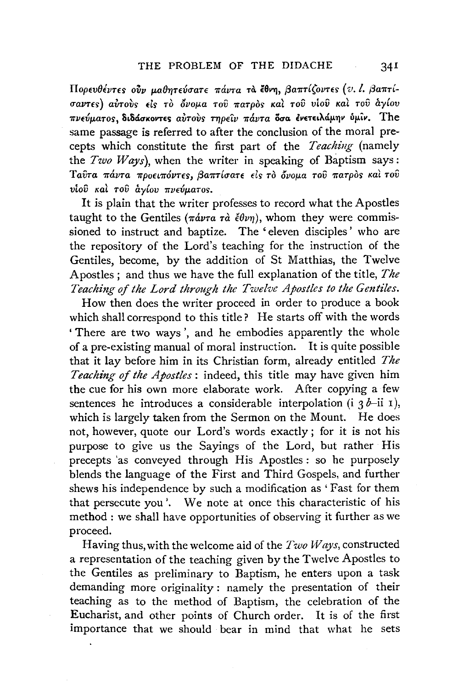Πορευθέντες ούν μαθητεύσατε πάντα τα έθνη, βαπτίζοντες (υ. Ι. βαπτίσαντες) αύτους είς το όνομα του πατρος και του υίου και του άγίου πνεύματος, διδάσκοντες αύτους τηρείν πάντα όσα ένετειλάμην ύμιν. The same passage is referred to after the conclusion of the moral precepts which constitute the first part of the *Teaching* (namely the Two Ways), when the writer in speaking of Baptism says: Ταύτα πάντα προειπόντες, βαπτίσατε είς το όνομα του πατρος και του υίου και του ανίου πνεύματος.

It is plain that the writer professes to record what the Apostles taught to the Gentiles ( $\pi \omega \tau a \tau \partial \psi \partial \eta$ ), whom they were commissioned to instruct and baptize. The 'eleven disciples' who are the repository of the Lord's teaching for the instruction of the Gentiles, become, by the addition of St Matthias, the Twelve Apostles; and thus we have the full explanation of the title, The Teaching of the Lord through the Twelve Apostles to the Gentiles.

How then does the writer proceed in order to produce a book which shall correspond to this title? He starts off with the words 'There are two ways', and he embodies apparently the whole of a pre-existing manual of moral instruction. It is quite possible that it lay before him in its Christian form, already entitled The Teaching of the Apostles: indeed, this title may have given him the cue for his own more elaborate work. After copying a few sentences he introduces a considerable interpolation (i  $3b$ -ii I), which is largely taken from the Sermon on the Mount. He does not, however, quote our Lord's words exactly; for it is not his purpose to give us the Sayings of the Lord, but rather His precepts 'as conveyed through His Apostles : so he purposely blends the language of the First and Third Gospels, and further shews his independence by such a modification as 'Fast for them that persecute you'. We note at once this characteristic of his method : we shall have opportunities of observing it further as we proceed.

Having thus, with the welcome aid of the  $Two\,Ways$ , constructed a representation of the teaching given by the Twelve Apostles to the Gentiles as preliminary to Baptism, he enters upon a task demanding more originality: namely the presentation of their teaching as to the method of Baptism, the celebration of the Eucharist, and other points of Church order. It is of the first importance that we should bear in mind that what he sets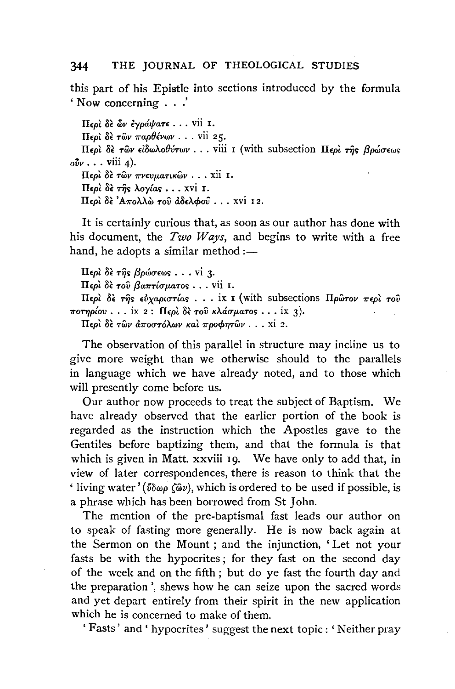this part of his Epistle into sections introduced by the formula ' Now concerning  $\ldots$ 

Περί δε ὧν εγράψατε... vii I. Περί δε των παρθένων... vii 25. Περί δε των είδωλοθύτων... viii 1 (with subsection Περί της βρώσεως  $ov_v \dots$  viii 4). Περί δε των πνευματικών... xii 1. Περί δε της λογίας... xvi 1.  $\Pi$ ερί δε 'Απολλώ του άδελφου'... XVi 12.

It is certainly curious that, as soon as our author has done with his document, the Two Ways, and begins to write with a free hand, he adopts a similar method :-

Περί δε της βρώσεως... vi 3. Περί δε του βαπτίσματος... vii 1. Περί δε της εύχαριστίας... ix 1 (with subsections Πρώτον περί του ποτηρίου... ix 2: Περὶ δε τοῦ κλάσματος... ix 3). Περί δε των άποστόλων και προφητών... xi 2.

The observation of this parallel in structure may incline us to give more weight than we otherwise should to the parallels in language which we have already noted, and to those which will presently come before us.

Our author now proceeds to treat the subject of Baptism. We have already observed that the earlier portion of the book is regarded as the instruction which the Apostles gave to the Gentiles before baptizing them, and that the formula is that which is given in Matt. xxviii 19. We have only to add that, in view of later correspondences, there is reason to think that the ' living water '( $\tilde{v} \delta \omega \rho$  ( $\tilde{\omega} \nu$ ), which is ordered to be used if possible, is a phrase which has been borrowed from St John.

The mention of the pre-baptismal fast leads our author on to speak of fasting more generally. He is now back again at the Sermon on the Mount; and the injunction, 'Let not your fasts be with the hypocrites; for they fast on the second day of the week and on the fifth; but do ye fast the fourth day and the preparation, shews how he can seize upon the sacred words and yet depart entirely from their spirit in the new application which he is concerned to make of them.

'Fasts' and 'hypocrites' suggest the next topic: 'Neither pray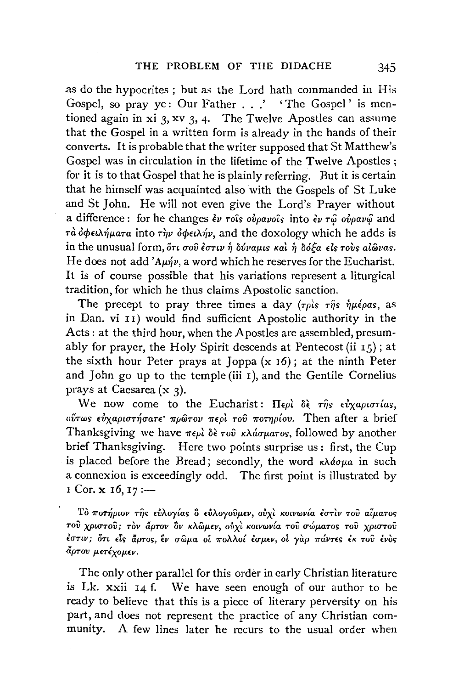as do the hypocrites ; but as the Lord hath commanded in His Gospel, so pray ye: Our Father ...' 'The Gospel' is mentioned again in xi 3, xv 3, 4· The Twelve Apostles can assume that the Gospel in a written form is already in the hands of their converts. It is probable that the writer supposed that St Matthew's Gospel was in circulation in the lifetime of the Twelve Apostles; for it is to that Gospel that he is plainly referring. But it is certain that he himself was acquainted also with the Gospels of St Luke and St John. He will not even give the Lord's Prayer without a difference : for he changes  $\epsilon \nu \tau o \hat{\epsilon} s$  over  $\omega$  into  $\epsilon \nu \tau \hat{\omega}$  over and  $\tau$ ά όφειλήματα into την όφειλήν, and the doxology which he adds is in the unusual form, <sup>5</sup>*τι σου έστιν ή δύναμις και η δόξα εις τους αιώνας*. He does not add 'A $\mu \hat{\eta} \nu$ , a word which he reserves for the Eucharist. It is of course possible that his variations represent a liturgical tradition, for which he thus claims Apostolic sanction.

The precept to pray three times a day  $(\tau \rho)$ 's  $\tau \hat{\eta}$ s  $\hat{\eta} \mu \hat{\epsilon} \rho$ as, as in Dan. vi 11) would find sufficient Apostolic authority in the Acts: at the third hour, when the Apostles are assembled, presumably for prayer, the Holy Spirit descends at Pentecost (ii  $15$ ); at the sixth hour Peter prays at Joppa  $(x 16)$ ; at the ninth Peter and John go up to the temple (iii  $I$ ), and the Gentile Cornelius prays at Caesarea  $(x, 3)$ .

We now come to the Eucharist:  $\Pi_{\epsilon}$  of  $\delta_{\epsilon}$   $\tau_{\eta s}$   $\epsilon_{\nu} \nu_{\alpha}$   $\sigma_{\nu}$  and  $\sigma_{\nu}$  $o$ ύτως εύχαριστήσατε πρώτον περί του ποτηρίου. Then after a brief Thanksgiving we have  $\pi \epsilon \rho \hat{i}$  of  $\epsilon \rho \hat{j}$   $\kappa \lambda \hat{\alpha} \sigma \mu \hat{\alpha} \sigma \rho \hat{\beta}$ , followed by another brief Thanksgiving. Here two points surprise us: first, the Cup is placed before the Bread; secondly, the word  $\kappa\lambda d\sigma\mu a$  in such a connexion is exceedingly odd. The first point is illustrated by  $1$  Cor.  $x$   $16$ ,  $17$  :-

Tò ποτήριον της εύλογίας δ εύλογούμεν, ούχι κοινωνία έστιν του αίματος <sup>τού</sup> χριστού; τον άρτον ὃν κλῶμεν, ούχι κοινωνία του σώματος του χριστού εστιν; ότι είς άρτος, εν σώμα οί πολλοί εσμεν, οί γαρ πάντες εκ του ενος άρτου μετέχομεν.

The only other parallel for this order in early Christian literature is Lk.  $\boldsymbol{x}$ xii 14 f. We have seen enough of our author to be ready to believe that this is a piece of literary perversity on his part, and does not represent the practice of any Christian community. A few lines later he recurs to the usual order when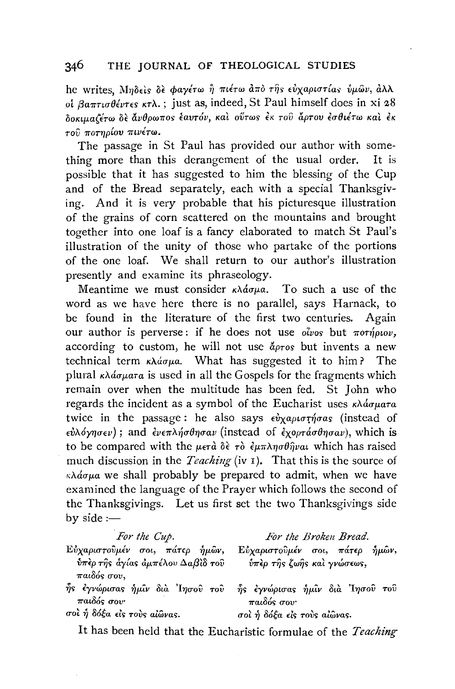he writes, Μηδείς δε φαγέτω ή πιέτω από της εύχαριστίας ύμών, άλλ *of*  $\beta a\pi\pi\mu\sigma\theta\epsilon$ *vres*  $\kappa\tau\lambda$ , ; just as, indeed, St Paul himself does in xi 28 *ooKLp.a(€rw* o~ *livOpwnos Eavr6v, Kat ovrw!> EK rov liprov ia-Odrw Ka' EK*   $\tau$ ού ποτηρίου πινέτω.

The passage in St Paul has provided our author with something more than this derangement of the usual order. It is possible that it has suggested to him the blessing of the Cup and of the Bread separately, each with a special Thanksgiving. And it is very probable that his picturesque illustration of the grains of corn scattered on the mountains and brought together into one loaf is a fancy elaborated to match St Paul's illustration of the unity of those who partake of the portions of the one loaf. We shall return to our author's illustration presently and examine its phraseology.

Meantime we must consider  $\kappa \lambda d\sigma \mu a$ . To such a use of the word as we have here there is no parallel, says Harnack, to be found in the literature of the first two centuries. Again our author is perverse: if he does not use *οἶνοs* but ποτήριον, according to custom, he will not use  $\alpha_{\text{Pros}}$  but invents a new technical term *κλάσμα*. What has suggested it to him? The plural *κλάσματα* is used in all the Gospels for the fragments which remain over when the multitude has been fed. St John who regards the incident as a symbol of the Eucharist uses  $\kappa \lambda d\sigma \mu$ ara twice in the passage: he also says *εύχαριστήσαs* (instead of  $\epsilon v\lambda \phi \eta \sigma \epsilon \nu$ ); and  $\epsilon v \epsilon \pi \lambda \eta \sigma \theta \eta \sigma \alpha \nu$  (instead of  $\epsilon x \rho \sigma \tau \alpha \sigma \theta \eta \sigma \alpha \nu$ ), which is to be compared with the  $\mu \in \hat{\mathfrak{m}}$   $\delta \in \hat{\mathfrak{m}}$   $\ell \in \hat{\mathfrak{m}}$ . *in*<sup>0</sup> $\ell$ </sup>*pau* which has raised much discussion in the *Teaching* (iv 1). That this is the source of  $\kappa\lambda d\sigma\mu a$  we shall probably be prepared to admit, when we have examined the language of the Prayer which follows the second of the Thanksgivings. Let us first set the two Thanksgivings side by side  $:$   $-$ 

| For the Cup.                                    | For the Broken Bread.                                          |
|-------------------------------------------------|----------------------------------------------------------------|
| Εύχαριστούμέν σοι, πάτερ ήμων,                  | Εύχαριστούμέν σοι, πάτερ ήμων,                                 |
| υπέρ της άγίας αμπέλου Δαβίδ του                | ύπερ της ζωής και γνώσεως,                                     |
| παιδός σου,                                     |                                                                |
| ής έγνώρισας ήμιν διà 'Ιησού του<br>παιδός σου· | ης εγνώρισας ήμιν δια Ίησου του<br>πaιδός σον                  |
| σοί ή δόξα είς τους αίωνας.                     | σοι ή δόξα είς τους αίωνας.                                    |
|                                                 | It has been held that the Eucharistic formulae of the Teaching |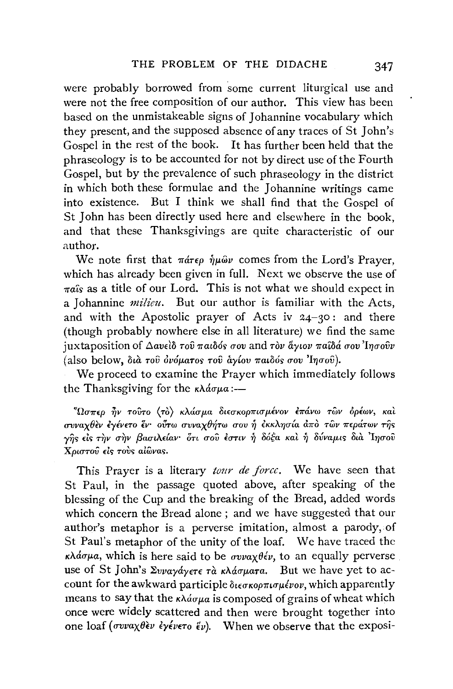were probably borrowed from some current liturgical use and were not the free composition of our author. This view has been based on the unmistakeable signs of Iohannine vocabulary which they present, and the supposed absence of any traces of St John's Gospel in the rest of the book. It has further been held that the phraseology is to be accounted for not by direct use of the Fourth  $\frac{1}{2}$  Gospel, but by the prevalence of such phraseology in the district in which both these formulae and the Johannine writings came into existence. But I think we shall find that the Gospel of St John has been directly used here and elsewhere in the book. and that these Thanksgivings are quite characteristic of our author.

We note first that  $\pi \acute{\alpha} \tau \epsilon \rho \acute{\eta} \mu \acute{\omega} \nu$  comes from the Lord's Prayer. which has already been given in full. Next we observe the use of  $\pi a$  as a title of our Lord. This is not what we should expect in a Johannine *milieu*. But our author is familiar with the Acts, and with the Apostolic prayer of Acts iv  $24-30$ : and there (though probably nowhere else in all literature) we find the same juxtaposition of Δαυείδ του παιδός σου and τον άγιον παιδά σου Ίησουν .<br>(also below, διά του όνόματος του άγίου παιδός σου Ίησου).

We proceed to examine the Prayer which immediately follows the Thanksgiving for the  $\kappa \lambda d\sigma \mu a$ :-

"Ωσπερ ήν τούτο (τὸ) κλάσμα διεσκορπισμένον έπάνω τῶν ὀρέων, καὶ συναχθέν έγένετο έν· ούτω συναχθήτω σου ή έκκλησία άπό των περάτων της γης είς την σην βασιλείαν ότι σου έστιν ή δόξα και ή δύναμις δια Ίησου Χριστού είς τους αίώνας.

This Prayer is a literary tour de force. We have seen that St Paul, in the passage quoted above, after speaking of the blessing of the Cup and the breaking of the Bread, added words which concern the Bread alone; and we have suggested that our author's metaphor is a perverse imitation, almost a parody, of St Paul's metaphor of the unity of the loaf. We have traced the κλάσμα, which is here said to be συναχθέν, to an equally perverse use of St John's Συναγάγετε τα κλάσματα. But we have yet to account for the awkward participle διεσκορπισμένον, which apparently means to say that the  $\kappa \lambda \dot{\alpha} \sigma \mu \alpha$  is composed of grains of wheat which once were widely scattered and then were brought together into one loaf (συναχθεν έγένετο έν). When we observe that the exposi-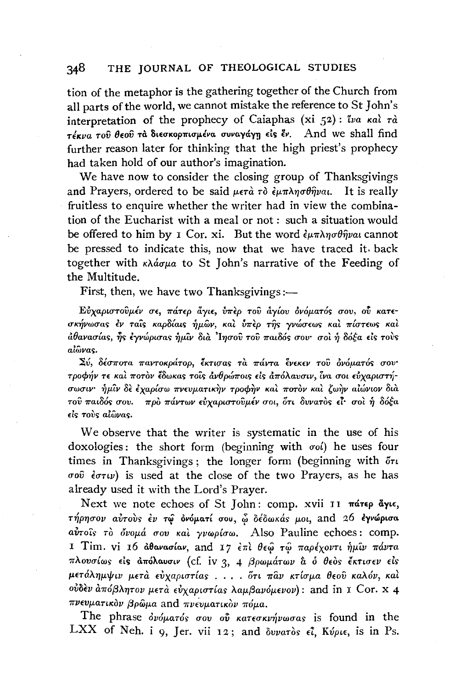tion of the metaphor is the gathering together of the Church from all parts of the world, we cannot mistake the reference to St John's interpretation of the prophecy of Caiaphas (xi 52): *Iva*  $\kappa a$   $\tau \hat{a}$  $\tau$ έκνα του θεού τα διεσκορπισμένα συναγάγη είς έν. And we shall find further reason later for thinking that the high priest's prophecy had taken hold of our author's imagination.

We have now to consider the closing group of Thanksgivings and Prayers, ordered to be said  $\mu \epsilon \tau \dot{a} \tau \dot{\delta} \dot{\epsilon} \mu \pi \lambda \eta \sigma \theta \hat{\eta} \nu a$ . It is really fruitless to enquire whether the writer had in view the combination of the Eucharist with a meal or not: such a situation would be offered to him by I Cor. xi. But the word  $\epsilon \mu \pi \lambda \eta \sigma \theta \hat{n} \nu \alpha \iota$  cannot be pressed to indicate this, now that we have traced it back together with κλάσμα to St John's narrative of the Feeding of the Multitude.

First, then, we have two Thanksgivings:-

Εύχαριστούμέν σε, πάτερ άγιε, ύπερ του αγίου ονόματός σου, ού κατεσκήνωσας έν ταΐς καρδίαις ήμων, και υπερ της γνώσεως και πίστεως και άθανασίας, ής έγνώρισας ήμιν διά 'Ιησού του παιδός σου· σοι ή δόξα είς τους  $a$ <sub>i</sub> $\hat{a}$ *vas*.

Σύ, δέσποτα παντοκράτορ, έκτισας τα πάντα ένεκεν του ονόματός σου τροφήν τε και ποτον έδωκας τοις ανθρώποις είς απόλαυσιν, ίνα σοι εύχαριστήσωσιν· ήμιν δε έχαρίσω πνευματικήν τροφήν και ποτον και ζωήν αιώνιον δια του παιδός σου. πρό πάντων εύχαριστούμέν σοι, ότι δυνατός εί σοι ή δόξα είς τους αίωνας.

We observe that the writer is systematic in the use of his doxologies: the short form (beginning with  $\sigma o(i)$  he uses four times in Thanksgivings; the longer form (beginning with  $\delta \tau \iota$ σού έστιν) is used at the close of the two Prayers, as he has already used it with the Lord's Prayer.

Next we note echoes of St John: comp. xvii II Tárep åyie, τήρησον αύτούς έν τώ ονόματί σου, ώ δέδωκάς μοι, and 26 έγνώρισα αύτοις το όνομά σου και γνωρίσω. Also Pauline echoes: comp. I Tim. vi 16 αθανασίαν, and 17 επι θεώ τω παρέχοντι ήμιν πάντα πλουσίως είς απόλαυσιν (cf. iv 3, 4 βρωμάτων α ο θεός έκτισεν είς μετάλημψιν μετά εύχαριστίας .... ότι παν κτίσμα θεού καλόν, καί ούδεν απόβλητον μετά εύχαριστίας λαμβανόμενον): and in I Cor. x 4  $\pi\nu$ ευματικόν βρώμα and  $\pi\nu$ ευματικόν πόμα.

The phrase δνόματός σου ού κατεσκνήνωσας is found in the LXX of Neh. i 9, Jer. vii 12; and  $\delta v v a \tau \delta s$   $\epsilon \hat{i}$ , Kύρι $\epsilon$ , is in Ps.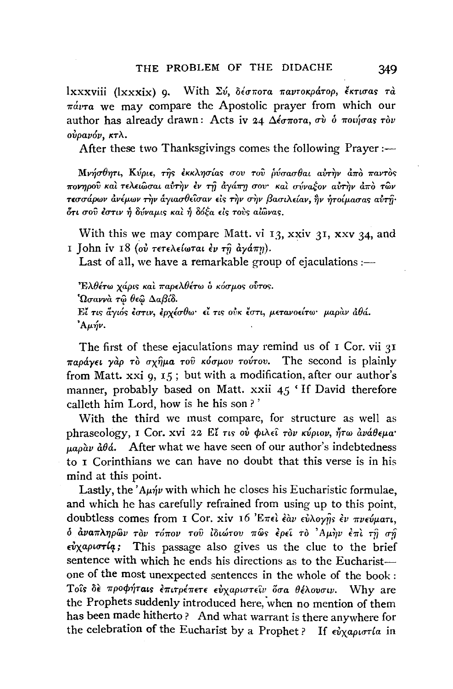1xxxviii (1xxxix) 9. With Σύ, δέσποτα παντοκράτορ, έκτισας τά  $\pi \dot{a}v\tau a$  we may compare the Apostolic prayer from which our author has already drawn: Acts iv 24  $\Delta \epsilon \pi \sigma \tau a$ ,  $\sigma \nu \delta \pi \sigma \mu \sigma \sigma s \tau \delta \nu$ ούρανόν, κτλ.

After these two Thanksgivings comes the following Prayer :-

Μνήσθητι, Κύριε, της έκκλησίας σου του ρύσασθαι αύτην άπό παντός πονηρού και τελειώσαι αύτην έν τη άγάπη σου· και σύναξον αύτην άπο των τεσσάρων ανέμων την αγιασθείσαν είς την σην βασιλείαν, ην ητοίμασας αυτή· δτι σου έστιν ή δύναμις και ή δόξα είς τους αίώνας.

With this we may compare Matt. vi  $13$ , xxiv  $31$ , xxv  $34$ , and I John iv 18 (ού τετελείωται έν τη άγάπη).

Last of all, we have a remarkable group of ejaculations :-

Έλθέτω χάρις και παρελθέτω ο κόσμος ούτος. Ώσαννὰ τῶ θεῶ Δαβίδ. Εί τις άγιός έστιν, έρχέσθω· εί τις ούκ έστι, μετανοείτω· μαραν άθά. 'Aunv.

The first of these ejaculations may remind us of  $I$  Cor. vii  $I<sub>I</sub>$ παράνει γάρ τὸ σχημα του κόσμου τούτου. The second is plainly from Matt. xxi 9, 15; but with a modification, after our author's manner, probably based on Matt. xxii 45 'If David therefore calleth him Lord, how is he his son?'

With the third we must compare, for structure as well as phraseology, I Cor. xvi 22 El τις ού φιλεί τον κύριον, ήτω ανάθεμα·  $\mu a_0$  $\partial \nu$   $d\theta$ *d*. After what we have seen of our author's indebtedness to I Corinthians we can have no doubt that this verse is in his mind at this point.

Lastly, the  $A\mu\eta\nu$  with which he closes his Eucharistic formulae. and which he has carefully refrained from using up to this point, doubtless comes from I Cor. xiv 16 Έπει έαν εύλογης έν πνεύματι, ό άναπληρών τον τόπον του ιδιώτου πώς έρει το Αμήν έπι τη σή  $\epsilon \dot{v} \chi$ apioría; This passage also gives us the clue to the brief sentence with which he ends his directions as to the Eucharistone of the most unexpected sentences in the whole of the book: Τοίς δε προφήταις επιτρέπετε εύχαριστείν όσα θέλουσιν. Why are the Prophets suddenly introduced here, when no mention of them has been made hitherto? And what warrant is there anywhere for the celebration of the Eucharist by a Prophet? If εύχαριστία in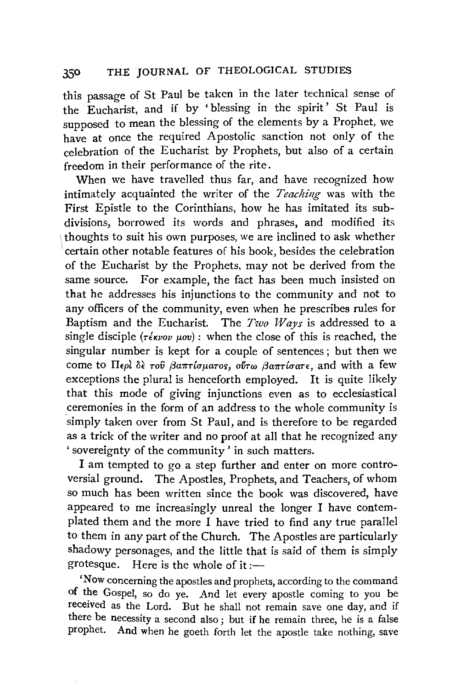this passage of St Paul be taken in the later technical sense of the Eucharist, and if by ' blessing in the spirit' St Paul is supposed to mean the blessing of the elements by a Prophet, we have at once the required Apostolic sanction not only of the celebration of the Eucharist by Prophets, but also of a certain freedom in their performance of the rite.

When we have travelled thus far, and have recognized how intimately acquainted the writer of the *Teaching* was with the First Epistle to the Corinthians, how he has imitated its subdivisions, borrowed its words and phrases, and modified its thoughts to suit his own purposes, we are inclined to ask whether certain other notable features of his book, besides the celebration of the Eucharist by the Prophets, may not be derived from the same source. For example, the fact has been much insisted on that he addresses his injunctions to the community and not to any officers of the community, even when he prescribes rules for Baptism and the Eucharist. The *Two Ways* is addressed to a single disciple ( $\tau \xi$ Kvov  $\mu$ ov): when the close of this is reached, the singular number is kept for a couple of sentences ; but then we come to  $\Pi_{\epsilon \rho}$   $\delta \epsilon$   $\tau$ ou  $\beta a \pi \tau i \sigma \mu a \tau$ os, out  $\sigma$  $\alpha \tau \epsilon$ , and with a few exceptions the plural is henceforth employed. It is quite likely that this mode of giving injunctions even as to ecclesiastical ceremonies in the form of an address to the whole community is simply taken over from St Paul, and is therefore to be regarded as a trick of the writer and no proof at all that he recognized any ' sovereignty of the community ' in such matters.

I am tempted to go a step further and enter on more controversial ground. The Apostles, Prophets, and Teachers, of whom so much has been written since the book was discovered, have appeared to me increasingly unreal the longer I have contemplated them and the more I have tried to find any true parallel to them in any part of the Church. The Apostles are particularly shadowy personages, and the little that is said of them is simply grotesque. Here is the whole of it: $-$ 

'Now concerning the apostles and prophets, according to the command of the Gospel, so do ye. And let every apostle coming to you be received as the Lord. But he shall not remain save one day, and if there be necessity a second also ; but if he remain three, he is a false prophet. And when he goeth forth let the apostle take nothing, save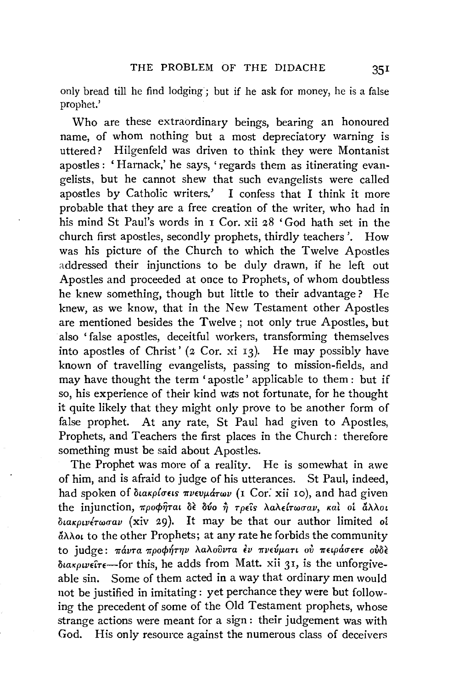only bread till he find lodging; but if he ask for money, he is a false prophet.'

Who are these extraordinary beings, bearing an honoured name, of whom nothing but a most depreciatory warning is uttered? Hilgenfeld was driven to think they were Montanist apostles: 'Harnack,' he says, 'regards them as itinerating evangelists, but he cannot shew that such evangelists were called apostles by Catholic writers.' I confess that I think it more probable that they are a free creation of the writer, who had in his mind St Paul's words in r Cor. xii 28 'God hath set in the church first apostles, secondly prophets, thirdly teachers'. How was his picture of the Church to which the Twelve Apostles addressed their injunctions to be duly drawn, if he left out Apostles and proceeded at once to Prophets, of whom doubtless he knew something, though but little to their advantage ? He knew, as we know, that in the New Testament other Apostles are mentioned besides the Twelve ; not only true Apostles, but also 'false apostles, deceitful workers, transforming themselves into apostles of Christ' (2 Cor. xi 13). He may possibly have known of travelling evangelists, passing to mission-fields, and may have thought the term 'apostle' applicable to them : but if so, his experience of their kind was not fortunate, for he thought it quite likely that they might only prove to be another form of false prophet. At any rate, St Paul had given to Apostles, Prophets, and Teachers the first places in the Church: therefore something must be said about Apostles.

The Prophet was more of a reality. He is somewhat in awe of him, and is afraid to judge of his utterances. St Paul, indeed, had spoken of  $\delta$ ιακρίσειs πνευμάτων (1 Cor. xii 10), and had given the injunction,  $\pi \rho \circ \phi \hat{\eta} \tau \alpha \circ \delta \epsilon$  dvo  $\hat{\eta}$   $\tau \rho \epsilon$ is  $\lambda a \lambda \epsilon$ *i*  $\sigma \alpha v$ , και οι άλλοι  $\delta$ takptvérwotav (xiv 29). It may be that our author limited of  $\ddot{\alpha}\lambda$  $\alpha$  to the other Prophets; at any rate he forbids the community to judge: πάντα προφήτην λαλούντα έν πνεύματι ού πειράσετε ούδε  $\delta$ *lakplvetre*—for this, he adds from Matt. xii 31, is the unforgiveable sin. Some of them acted in a way that ordinary men would not be justified in imitating: yet perchance they were but following the precedent of some of the Old Testament prophets, whose strange actions were meant for a sign : their judgement was with God. His only resource against the numerous class of deceivers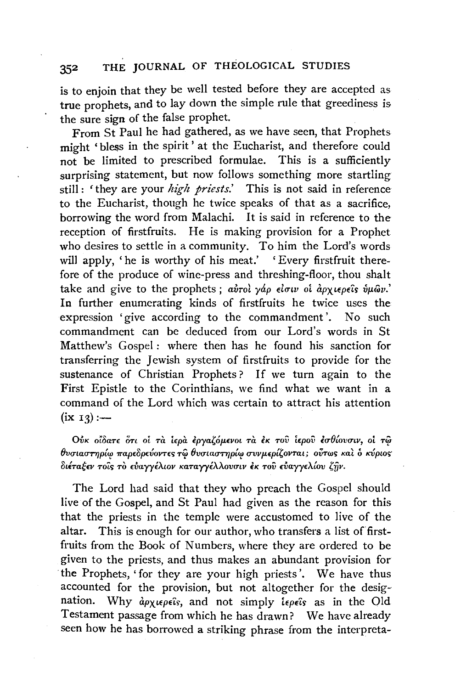is to enioin that they be well tested before they are accepted as true prophets, and to lay down the simple rule that greediness is the sure sign of the false prophet.

From St Paul he had gathered, as we have seen, that Prophets might 'bless in the spirit' at the Eucharist, and therefore could not be limited to prescribed formulae. This is a sufficiently surprising statement, but now follows something more startling still: 'they are your *high priests*.' This is not said in reference to the Eucharist, though he twice speaks of that as a sacrifice, borrowing the word from Malachi. It is said in reference to the reception of firstfruits. He is making provision for a Prophet who desires to settle in a community. To him the Lord's words will apply, 'he is worthy of his meat.' 'Every firstfruit therefore of the produce of wine-press and threshing-floor, thou shalt take and give to the prophets;  $a\dot{v}$  rol  $\gamma d\rho \epsilon \dot{\epsilon} \sigma v \dot{\rho} \dot{\epsilon} \dot{\rho} \rho \dot{\epsilon} \epsilon \dot{\rho} \epsilon \dot{\rho} \epsilon \dot{\rho} \dot{\epsilon} \dot{\rho} \dot{\rho} \dot{\rho} \dot{\epsilon}$ In further enumerating kinds of firstfruits he twice uses the expression 'give according to the commandment'. No such commandment can be deduced from our Lord's words in St Matthew's Gospel: where then has he found his sanction for transferring the Jewish system of firstfruits to provide for the sustenance of Christian Prophets? If we turn again to the First Epistle to the Corinthians, we find what we want in a command of the Lord which was certain to attract his attention  $(ix 13)$ :--

Ούκ οίδατε ότι οί τα ίερα έργαζόμενοι τα έκ του ίερου έσθίουσιν, οί τώ θυσιαστηρίω παρεδρεύοντες τῶ θυσιαστηρίω συνμερίζονται; οὖτως καὶ ὁ κύριος διέταξεν τους το εύαγγέλιον καταγγέλλουσιν έκ του εύαγγελίου ζήν.

The Lord had said that they who preach the Gospel should live of the Gospel, and St Paul had given as the reason for this that the priests in the temple were accustomed to live of the This is enough for our author, who transfers a list of firstaltar. fruits from the Book of Numbers, where they are ordered to be given to the priests, and thus makes an abundant provision for the Prophets, ' for they are your high priests'. We have thus accounted for the provision, but not altogether for the designation. Why αρχιερείς, and not simply ιερείς as in the Old Testament passage from which he has drawn? We have already seen how he has borrowed a striking phrase from the interpreta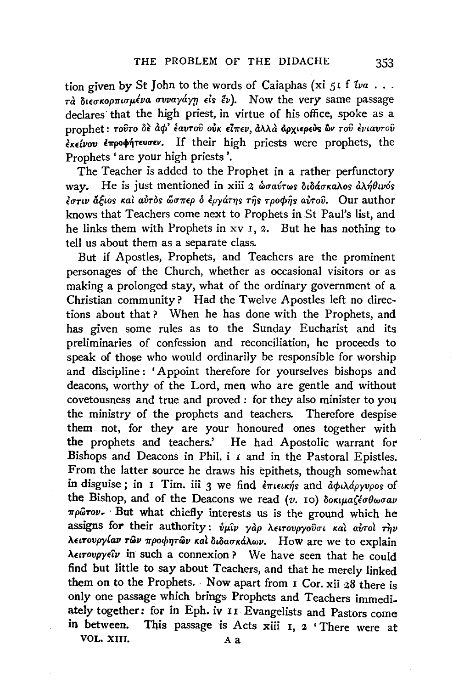tion given by St John to the words of Caiaphas (xi 51 f  $\tilde{u}u$ ...  $\tau$ ά διεσκορπισμένα συναγάγη είς έν). Now the very same passage declares that the high priest, in virtue of his office, spoke as a prophet: τούτο δε άφ' έαυτου ούκ είπεν, άλλά άρχιερεύς ων του ένιαυτου  $\epsilon$ Prophets 'are your high priests'.

The Teacher is added to the Prophet in a rather perfunctory way. He is just mentioned in xiii  $a$   $\omega \sigma a \nu \tau \omega s$   $\omega \delta a \sigma \alpha \lambda \gamma \omega s$ έστιν άξιος και αυτός ὥσπερ ο εργάτης της τροφής αυτου. Our author knows that Teachers come next to Prophets in St Paul's list, and he links them with Prophets in  $xy$  I, 2. But he has nothing to tell us about them as a separate class.

But if Apostles, Prophets, and Teachers are the prominent personages of the Church, whether as occasional visitors or as making a prolonged stay, what of the ordinary government of a Christian community? Had the Twelve Apostles left no directions about that? When he has done with the Prophets, and has given some rules as to the Sunday Eucharist and its preliminaries of confession and reconciliation, he proceeds to speak of those who would ordinarily be responsible for worship and discipline: 'Appoint therefore for yourselves bishops and deacons, worthy of the Lord, men who are gentle and without covetousness and true and proved : for they also minister to you the ministry of the prophets and teachers. Therefore despise them not, for they are your honoured ones together with the prophets and teachers.' He had Apostolic warrant for Bishops and Deacons in Phil. i I and in the Pastoral Epistles. From the latter source he draws his epithets, though somewhat in disguise; in I Tim. iii 3 we find  $\epsilon \pi$  ieikns and  $d\phi \iota \lambda d\rho yv\rho o s$  of the Bishop, and of the Deacons we read ( $v$ . 10) δοκιμαζέσθωσαν  $\pi \rho \hat{\omega}$ rov. But what chiefly interests us is the ground which he assigns for their authority: ύμίν γάρ λειτουργούσι και αύτοι την λειτουργίαν των προφητών και διδασκάλων. How are we to explain  $\lambda \epsilon$ *irovpy* $\epsilon \hat{i}$  in such a connexion? We have seen that he could find but little to say about Teachers, and that he merely linked them on to the Prophets. Now apart from  $\bar{1}$  Cor. xii 28 there is only one passage which brings Prophets and Teachers immediately together: for in Eph. iv 11 Evangelists and Pastors come in between. This passage is Acts xiii 1, 2 'There were at VOL. XIII.  $A$  a

353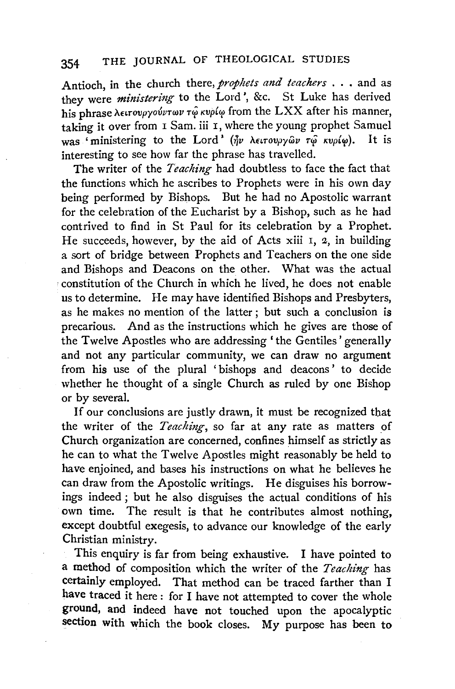Antioch, in the church there, *prophets and teachers* . . . and as they were *ministering* to the Lord', &c. St Luke has derived his phrase  $\lambda \epsilon$ ιτουργούντων τ $\hat{\omega}$  κυρί $\omega$  from the LXX after his manner.  $\frac{1}{12}$  taking it over from I Sam. iii I, where the young prophet Samuel was 'ministering to the Lord'  $(\eta v \lambda \epsilon \mu \tau \sigma \nu \rho \gamma \hat{\omega} \nu \tau \hat{\varphi} \kappa \nu \rho \hat{\mu} \varphi)$ . It is interesting to see how far the phrase has travelled.

The writer of the *Teaching* had doubtless to face the fact that the functions which he ascribes to Prophets were in his own day being performed by Bishops. But he had no Apostolic warrant for the celebration of the Eucharist by a Bishop, such as he had contrived to find in St Paul for its celebration by a Prophet. He succeeds, however, by the aid of Acts xiii  $r_1$ ,  $r_2$ , in building a sort of bridge between Prophets and Teachers on the one side and Bishops and Deacons on the other. What was the actual · constitution of the Church in which he lived, he does not enable us to determine. He may have identified Bishops and Presbyters, as he makes no mention of the latter; but such a conclusion is precarious. And as the instructions which he gives are those of the Twelve Apostles who are addressing' the Gentiles' generally and not any particular community, we can draw no argument from his use of the plural 'bishops and deacons' to decide whether he thought of a single Church as ruled by one Bishop or by several.

If our conclusions are justly drawn, it must be recognized that the writer of the *Teaching*, so far at any rate as matters of Church organization are concerned, confines himself as strictly as he can to what the Twelve Apostles might reasonably be held to have enjoined, and bases his instructions on what he believes he can draw from the Apostolic writings. He disguises his borrowings indeed ; but he also disguises the actual conditions of his own time. The result is that he contributes almost nothing, except doubtful exegesis, to advance our knowledge of the early Christian ministry.

This enquiry is far from being exhaustive. I have pointed to a method of composition which the writer of the *Teaching* has certainly employed. That method can be traced farther than I have traced it here : for I have not attempted to cover the whole ground, and indeed have not touched upon the apocalyptic section with which the book closes. My purpose has been to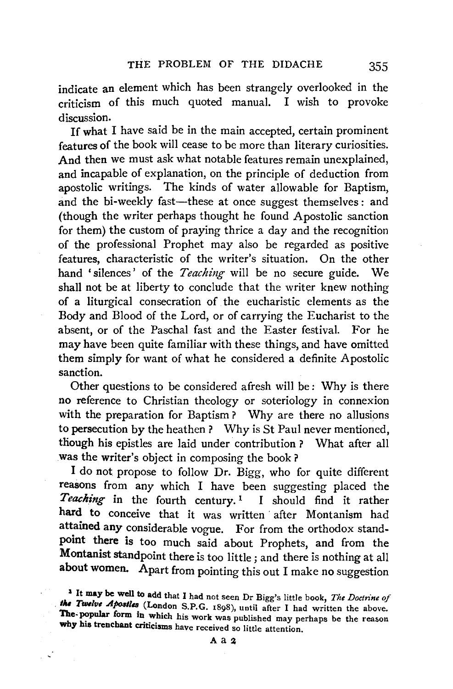indicate an element which has been strangely overlooked in the criticism of this much quoted manual. I wish to provoke discussion.

If what I have said be in the main accepted, certain prominent features of the book will cease to be more than literary curiosities. And then we must ask what notable features remain unexplained, and incapable of explanation, on the principle of deduction from apostolic writings. The kinds of water allowable for Baptism, and the bi-weekly fast-these at once suggest themselves: and (though the writer perhaps thought he found Apostolic sanction for them) the custom of praying thrice a day and the recognition of the professional Prophet may also be regarded as positive features, characteristic of the writer's situation. On the other hand 'silences' of the *Teaching* will be no secure guide. We shall not be at liberty to conclude that the writer knew nothing of a liturgical consecration of the eucharistic elements as the Body and Blood of the Lord, or of carrying the Eucharist to the absent, or of the Paschal fast and the Easter festival. For he may have been quite familiar with these things, and have omitted them simply for want of what he considered a definite Apostolic sanction.

Other questions to be considered afresh will be: Why is there no reference to Christian theology or soteriology in connexion with the preparation for Baptism? Why are there no allusions to persecution by the heathen ? Why is St Paul never mentioned, though his epistles are laid under contribution  $?$  What after all was the writer's object in composing the book?

I do not propose to follow Dr. Bigg, who for quite different reasons from any which I have been suggesting placed the *Teaching* in the fourth century. 1 I should find it rather hard to conceive that it was written after Montanism had attained any considerable vogue. For from the orthodox standpoint there is too much said about Prophets, and from the Montanist standpoint there is too little ; and there is nothing at all about women. Apart from pointing this out I make no suggestion

<sup>1</sup> It may be well to add that I had not seen Dr Bigg's little book, *The Doctrine of*  the Twelve Apostles (London S.P.G. 1898), until after I had written the above. The popular form in which his work was published may perhaps be the reason why his trenchant criticisms have received so little attention.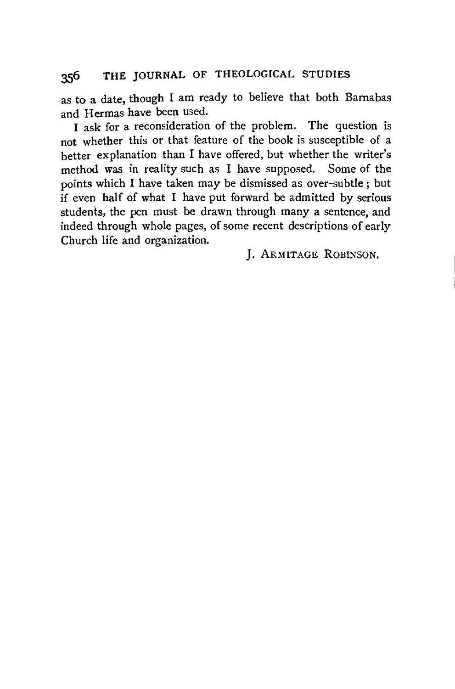as to a date, though I am ready to believe that both Barnabas and Hermas have been used.

I ask for a reconsideration of the problem. The question is not whether this or that feature of the book is susceptible of a better explanation than I have offered, but whether the writer's method was in reality such as I have supposed. Some of the points which I have taken may be dismissed as over-subtle; but if even half of what I have put forward be admitted by serious students, the pen must be drawn through many a sentence, and indeed through whole pages, of some recent descriptions of early Church life and organization.

J. ARMITAGE ROBINSON.